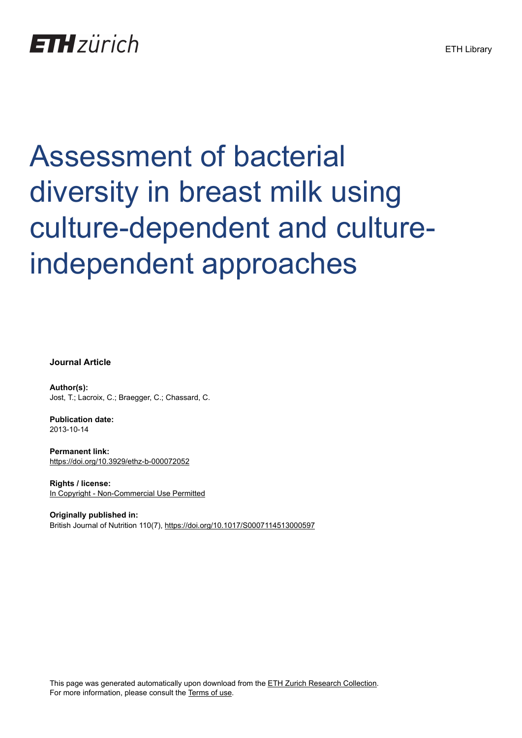## **ETH** zürich

# Assessment of bacterial diversity in breast milk using culture-dependent and cultureindependent approaches

**Journal Article**

**Author(s):** Jost, T.; Lacroix, C.; Braegger, C.; Chassard, C.

**Publication date:** 2013-10-14

**Permanent link:** <https://doi.org/10.3929/ethz-b-000072052>

**Rights / license:** [In Copyright - Non-Commercial Use Permitted](http://rightsstatements.org/page/InC-NC/1.0/)

**Originally published in:** British Journal of Nutrition 110(7), <https://doi.org/10.1017/S0007114513000597>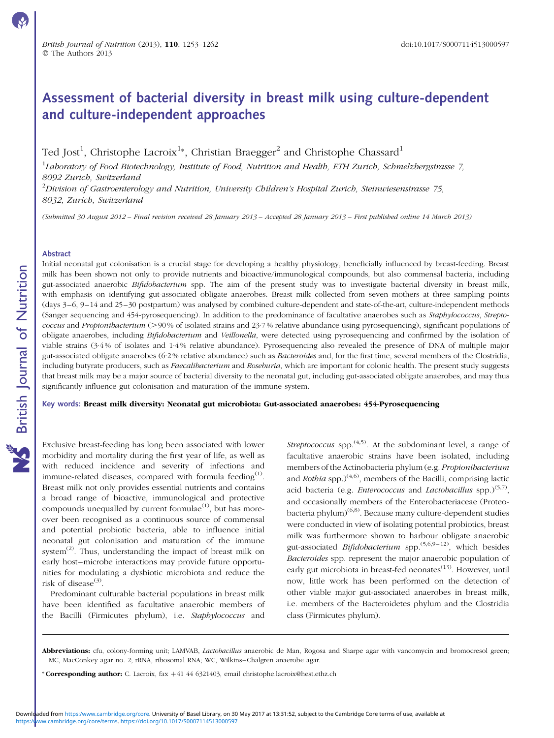### Assessment of bacterial diversity in breast milk using culture-dependent and culture-independent approaches

Ted Jost<sup>1</sup>, Christophe Lacroix<sup>1</sup>\*, Christian Braegger<sup>2</sup> and Christophe Chassard<sup>1</sup>

<sup>1</sup>Laboratory of Food Biotechnology, Institute of Food, Nutrition and Health, ETH Zurich, Schmelzbergstrasse 7, 8092 Zurich, Switzerland

 $^2$ Division of Gastroenterology and Nutrition, University Children's Hospital Zurich, Steinwiesenstrasse 75, 8032, Zurich, Switzerland

(Submitted 30 August 2012 – Final revision received 28 January 2013 – Accepted 28 January 2013 – First published online 14 March 2013)

### Abstract

Initial neonatal gut colonisation is a crucial stage for developing a healthy physiology, beneficially influenced by breast-feeding. Breast milk has been shown not only to provide nutrients and bioactive/immunological compounds, but also commensal bacteria, including gut-associated anaerobic Bifidobacterium spp. The aim of the present study was to investigate bacterial diversity in breast milk, with emphasis on identifying gut-associated obligate anaerobes. Breast milk collected from seven mothers at three sampling points (days 3–6, 9–14 and 25–30 postpartum) was analysed by combined culture-dependent and state-of-the-art, culture-independent methods (Sanger sequencing and 454-pyrosequencing). In addition to the predominance of facultative anaerobes such as Staphylococcus, Streptococcus and Propionibacterium (>90% of isolated strains and 23·7% relative abundance using pyrosequencing), significant populations of obligate anaerobes, including Bifidobacterium and Veillonella, were detected using pyrosequencing and confirmed by the isolation of viable strains (3·4 % of isolates and 1·4 % relative abundance). Pyrosequencing also revealed the presence of DNA of multiple major gut-associated obligate anaerobes (6·2% relative abundance) such as Bacteroides and, for the first time, several members of the Clostridia, including butyrate producers, such as Faecalibacterium and Roseburia, which are important for colonic health. The present study suggests that breast milk may be a major source of bacterial diversity to the neonatal gut, including gut-associated obligate anaerobes, and may thus significantly influence gut colonisation and maturation of the immune system.

Key words: Breast milk diversity: Neonatal gut microbiota: Gut-associated anaerobes: 454-Pyrosequencing

Exclusive breast-feeding has long been associated with lower morbidity and mortality during the first year of life, as well as with reduced incidence and severity of infections and immune-related diseases, compared with formula feeding $<sup>(1)</sup>$ .</sup> Breast milk not only provides essential nutrients and contains a broad range of bioactive, immunological and protective compounds unequalled by current formulae $^{(1)}$ , but has moreover been recognised as a continuous source of commensal and potential probiotic bacteria, able to influence initial neonatal gut colonisation and maturation of the immune system<sup>(2)</sup>. Thus, understanding the impact of breast milk on early host–microbe interactions may provide future opportunities for modulating a dysbiotic microbiota and reduce the risk of disease $(3)$ .

Predominant culturable bacterial populations in breast milk have been identified as facultative anaerobic members of the Bacilli (Firmicutes phylum), i.e. Staphylococcus and

Streptococcus spp.<sup> $(4,5)$ </sup>. At the subdominant level, a range of facultative anaerobic strains have been isolated, including members of the Actinobacteria phylum (e.g. Propionibacterium and *Rothia* spp.)<sup> $(4,6)$ </sup>, members of the Bacilli, comprising lactic acid bacteria (e.g. *Enterococcus* and *Lactobacillus* spp.)<sup> $(5,7)$ </sup>, and occasionally members of the Enterobacteriaceae (Proteobacteria phylum) $^{(6,8)}$ . Because many culture-dependent studies were conducted in view of isolating potential probiotics, breast milk was furthermore shown to harbour obligate anaerobic gut-associated *Bifidobacterium* spp.<sup> $(5,6,9-12)$ </sup>, which besides Bacteroides spp. represent the major anaerobic population of early gut microbiota in breast-fed neonates $(13)$ . However, until now, little work has been performed on the detection of other viable major gut-associated anaerobes in breast milk, i.e. members of the Bacteroidetes phylum and the Clostridia class (Firmicutes phylum).

\* Corresponding author: C. Lacroix, fax  $+41$  44 6321403, email christophe.lacroix@hest.ethz.ch

Abbreviations: cfu, colony-forming unit; LAMVAB, *Lactobacillus* anaerobic de Man, Rogosa and Sharpe agar with vancomycin and bromocresol green; MC, MacConkey agar no. 2; rRNA, ribosomal RNA; WC, Wilkins–Chalgren anaerobe agar.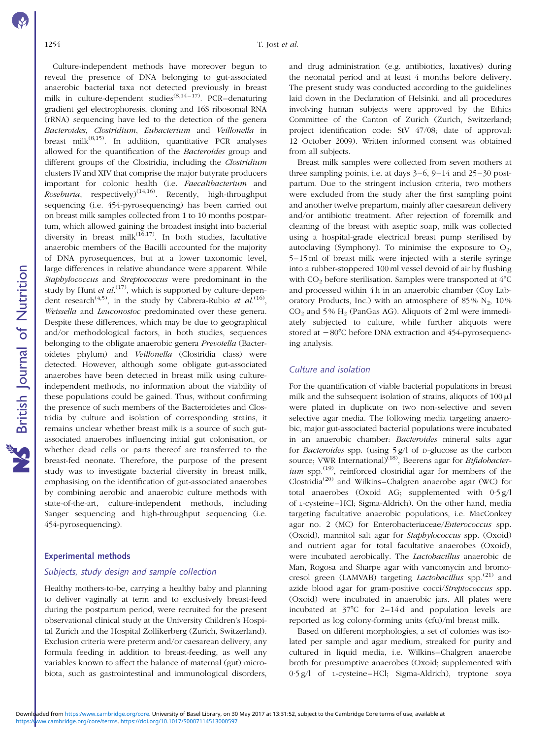British Journal of Nutrition

**NS** British Journal of Nutrition

Culture-independent methods have moreover begun to reveal the presence of DNA belonging to gut-associated anaerobic bacterial taxa not detected previously in breast milk in culture-dependent studies<sup> $(8,14-\overline{17})$ </sup>. PCR–denaturing gradient gel electrophoresis, cloning and 16S ribosomal RNA (rRNA) sequencing have led to the detection of the genera Bacteroides, Clostridium, Eubacterium and Veillonella in breast mil $k^{(8,15)}$ . In addition, quantitative PCR analyses allowed for the quantification of the Bacteroides group and different groups of the Clostridia, including the Clostridium clusters IV and XIV that comprise the major butyrate producers important for colonic health (i.e. Faecalibacterium and Roseburia, respectively)<sup>(14,16)</sup>. Recently, high-throughput sequencing (i.e. 454-pyrosequencing) has been carried out on breast milk samples collected from 1 to 10 months postpartum, which allowed gaining the broadest insight into bacterial diversity in breast milk $^{(16,17)}$ . In both studies, facultative anaerobic members of the Bacilli accounted for the majority of DNA pyrosequences, but at a lower taxonomic level, large differences in relative abundance were apparent. While Staphylococcus and Streptococcus were predominant in the study by Hunt et  $al^{(17)}$ , which is supported by culture-dependent research<sup>(4,5)</sup>, in the study by Cabrera-Rubio et  $al$ <sup>(16)</sup>, Weissella and Leuconostoc predominated over these genera. Despite these differences, which may be due to geographical and/or methodological factors, in both studies, sequences belonging to the obligate anaerobic genera Prevotella (Bacteroidetes phylum) and Veillonella (Clostridia class) were detected. However, although some obligate gut-associated anaerobes have been detected in breast milk using cultureindependent methods, no information about the viability of these populations could be gained. Thus, without confirming the presence of such members of the Bacteroidetes and Clostridia by culture and isolation of corresponding strains, it remains unclear whether breast milk is a source of such gutassociated anaerobes influencing initial gut colonisation, or whether dead cells or parts thereof are transferred to the breast-fed neonate. Therefore, the purpose of the present study was to investigate bacterial diversity in breast milk, emphasising on the identification of gut-associated anaerobes by combining aerobic and anaerobic culture methods with state-of-the-art, culture-independent methods, including Sanger sequencing and high-throughput sequencing (i.e. 454-pyrosequencing).

### Experimental methods

### Subjects, study design and sample collection

Healthy mothers-to-be, carrying a healthy baby and planning to deliver vaginally at term and to exclusively breast-feed during the postpartum period, were recruited for the present observational clinical study at the University Children's Hospital Zurich and the Hospital Zollikerberg (Zurich, Switzerland). Exclusion criteria were preterm and/or caesarean delivery, any formula feeding in addition to breast-feeding, as well any variables known to affect the balance of maternal (gut) microbiota, such as gastrointestinal and immunological disorders, and drug administration (e.g. antibiotics, laxatives) during the neonatal period and at least 4 months before delivery. The present study was conducted according to the guidelines laid down in the Declaration of Helsinki, and all procedures involving human subjects were approved by the Ethics Committee of the Canton of Zurich (Zurich, Switzerland; project identification code: StV 47/08; date of approval: 12 October 2009). Written informed consent was obtained from all subjects.

Breast milk samples were collected from seven mothers at three sampling points, i.e. at days 3–6, 9–14 and 25–30 postpartum. Due to the stringent inclusion criteria, two mothers were excluded from the study after the first sampling point and another twelve prepartum, mainly after caesarean delivery and/or antibiotic treatment. After rejection of foremilk and cleaning of the breast with aseptic soap, milk was collected using a hospital-grade electrical breast pump sterilised by autoclaving (Symphony). To minimise the exposure to  $O_2$ , 5–15 ml of breast milk were injected with a sterile syringe into a rubber-stoppered 100 ml vessel devoid of air by flushing with  $CO<sub>2</sub>$  before sterilisation. Samples were transported at  $4^{\circ}C$ and processed within 4h in an anaerobic chamber (Coy Laboratory Products, Inc.) with an atmosphere of  $85\%$  N<sub>2</sub>,  $10\%$  $CO<sub>2</sub>$  and 5% H<sub>2</sub> (PanGas AG). Aliquots of 2 ml were immediately subjected to culture, while further aliquots were stored at  $-80^{\circ}$ C before DNA extraction and 454-pyrosequencing analysis.

### Culture and isolation

For the quantification of viable bacterial populations in breast milk and the subsequent isolation of strains, aliquots of  $100 \mu$ l were plated in duplicate on two non-selective and seven selective agar media. The following media targeting anaerobic, major gut-associated bacterial populations were incubated in an anaerobic chamber: Bacteroides mineral salts agar for Bacteroides spp. (using 5 g/l of D-glucose as the carbon source; VWR International)<sup>(18)</sup>, Beerens agar for *Bifidobacter* $ium$  spp.<sup>(19)</sup>, reinforced clostridial agar for members of the Clostridia(20) and Wilkins–Chalgren anaerobe agar (WC) for total anaerobes (Oxoid AG; supplemented with 0·5 g/l of L-cysteine–HCl; Sigma-Aldrich). On the other hand, media targeting facultative anaerobic populations, i.e. MacConkey agar no. 2 (MC) for Enterobacteriaceae/Enterococcus spp. (Oxoid), mannitol salt agar for Staphylococcus spp. (Oxoid) and nutrient agar for total facultative anaerobes (Oxoid), were incubated aerobically. The *Lactobacillus* anaerobic de Man, Rogosa and Sharpe agar with vancomycin and bromocresol green (LAMVAB) targeting *Lactobacillus* spp.<sup> $(21)$ </sup> and azide blood agar for gram-positive cocci/Streptococcus spp. (Oxoid) were incubated in anaerobic jars. All plates were incubated at  $37^{\circ}$ C for 2–14d and population levels are reported as log colony-forming units (cfu)/ml breast milk.

Based on different morphologies, a set of colonies was isolated per sample and agar medium, streaked for purity and cultured in liquid media, i.e. Wilkins–Chalgren anaerobe broth for presumptive anaerobes (Oxoid; supplemented with 0·5 g/l of L-cysteine–HCl; Sigma-Aldrich), tryptone soya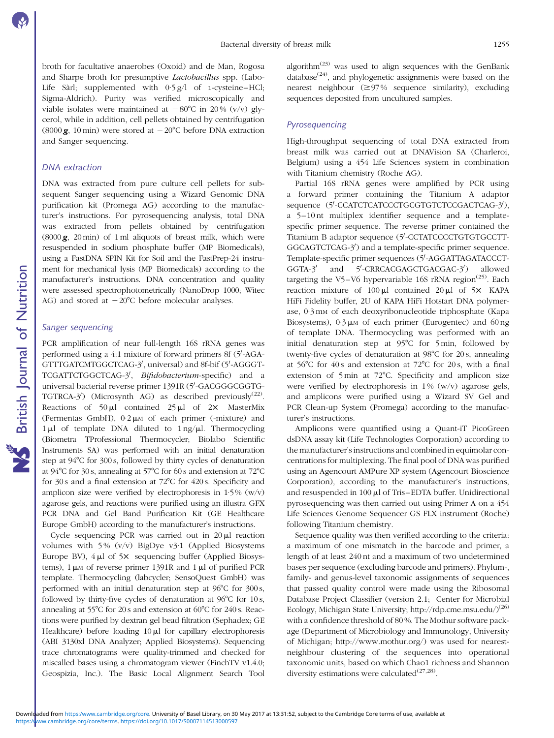broth for facultative anaerobes (Oxoid) and de Man, Rogosa and Sharpe broth for presumptive Lactobacillus spp. (Labo-Life Sàrl; supplemented with  $0.5 g/l$  of L-cysteine–HCl; Sigma-Aldrich). Purity was verified microscopically and viable isolates were maintained at  $-80^{\circ}$ C in 20% (v/v) glycerol, while in addition, cell pellets obtained by centrifugation (8000  $\mathbf{g}$ , 10 min) were stored at  $-20^{\circ}$ C before DNA extraction and Sanger sequencing.

### DNA extraction

DNA was extracted from pure culture cell pellets for subsequent Sanger sequencing using a Wizard Genomic DNA purification kit (Promega AG) according to the manufacturer's instructions. For pyrosequencing analysis, total DNA was extracted from pellets obtained by centrifugation  $(8000\,\text{g}, 20\,\text{min})$  of 1 ml aliquots of breast milk, which were resuspended in sodium phosphate buffer (MP Biomedicals), using a FastDNA SPIN Kit for Soil and the FastPrep-24 instrument for mechanical lysis (MP Biomedicals) according to the manufacturer's instructions. DNA concentration and quality were assessed spectrophotometrically (NanoDrop 1000; Witec AG) and stored at  $-20^{\circ}$ C before molecular analyses.

### Sanger sequencing

PCR amplification of near full-length 16S rRNA genes was performed using a 4:1 mixture of forward primers 8f (5'-AGA-GTTTGATCMTGGCTCAG-3', universal) and 8f-bif (5'-AGGGT-TCGATTCTGGCTCAG-3', Bifidobacterium-specific) and a universal bacterial reverse primer 1391R (5'-GACGGGGGGTG-TGTRCA-3<sup>'</sup>) (Microsynth AG) as described previously<sup>(22)</sup>. Reactions of  $50 \mu l$  contained  $25 \mu l$  of  $2 \times$  MasterMix (Fermentas GmbH),  $0.2 \mu M$  of each primer (-mixture) and  $1 \mu l$  of template DNA diluted to  $1 \text{ ng}/\mu l$ . Thermocycling (Biometra TProfessional Thermocycler; Biolabo Scientific Instruments SA) was performed with an initial denaturation step at 94°C for 300 s, followed by thirty cycles of denaturation at 94 $\degree$ C for 30s, annealing at 57 $\degree$ C for 60s and extension at 72 $\degree$ C for 30s and a final extension at 72°C for 420s. Specificity and amplicon size were verified by electrophoresis in  $1.5\%$  (w/v) agarose gels, and reactions were purified using an illustra GFX PCR DNA and Gel Band Purification Kit (GE Healthcare Europe GmbH) according to the manufacturer's instructions.

Cycle sequencing PCR was carried out in  $20 \mu l$  reaction volumes with  $5\%$  (v/v) BigDye v3.1 (Applied Biosystems Europe BV),  $4 \mu l$  of  $5 \times$  sequencing buffer (Applied Biosystems),  $1 \mu$ M of reverse primer 1391R and  $1 \mu$ l of purified PCR template. Thermocycling (labcycler; SensoQuest GmbH) was performed with an initial denaturation step at  $96^{\circ}$ C for  $300$  s, followed by thirty-five cycles of denaturation at  $96^{\circ}$ C for 10s, annealing at  $55^{\circ}$ C for 20s and extension at 60 $^{\circ}$ C for 240s. Reactions were purified by dextran gel bead filtration (Sephadex; GE Healthcare) before loading  $10 \mu l$  for capillary electrophoresis (ABI 3130xl DNA Analyzer; Applied Biosystems). Sequencing trace chromatograms were quality-trimmed and checked for miscalled bases using a chromatogram viewer (FinchTV v1.4.0; Geospizia, Inc.). The Basic Local Alignment Search Tool algorithm<sup> $(23)$ </sup> was used to align sequences with the GenBank database<sup>(24)</sup>, and phylogenetic assignments were based on the nearest neighbour  $(\geq 97\%$  sequence similarity), excluding sequences deposited from uncultured samples.

### Pyrosequencing

High-throughput sequencing of total DNA extracted from breast milk was carried out at DNAVision SA (Charleroi, Belgium) using a 454 Life Sciences system in combination with Titanium chemistry (Roche AG).

Partial 16S rRNA genes were amplified by PCR using a forward primer containing the Titanium A adaptor sequence (5'-CCATCTCATCCCTGCGTGTCTCCGACTCAG-3'), a 5–10 nt multiplex identifier sequence and a templatespecific primer sequence. The reverse primer contained the Titanium B adaptor sequence (5'-CCTATCCCCTGTGTGCCTT-GGCAGTCTCAG-3<sup>'</sup>) and a template-specific primer sequence. Template-specific primer sequences (5'-AGGATTAGATACCCT- $GGTA-3'$  and -CRRCACGAGCTGACGAC-3<sup>'</sup>) allowed targeting the V5–V6 hypervariable 16S rRNA region<sup>(25)</sup>. Each reaction mixture of  $100 \text{ }\mu\text{l}$  contained  $20 \text{ }\mu\text{l}$  of  $5 \times$  KAPA HiFi Fidelity buffer, 2U of KAPA HiFi Hotstart DNA polymerase, 0·3 mM of each deoxyribonucleotide triphosphate (Kapa Biosystems),  $0.3 \mu$ M of each primer (Eurogentec) and 60 ng of template DNA. Thermocycling was performed with an initial denaturation step at  $95^{\circ}$ C for 5 min, followed by twenty-five cycles of denaturation at  $98^{\circ}$ C for 20 s, annealing at 56 $\degree$ C for 40 s and extension at 72 $\degree$ C for 20 s, with a final extension of 5 min at 72°C. Specificity and amplicon size were verified by electrophoresis in  $1\%$  (w/v) agarose gels, and amplicons were purified using a Wizard SV Gel and PCR Clean-up System (Promega) according to the manufacturer's instructions.

Amplicons were quantified using a Quant-iT PicoGreen dsDNA assay kit (Life Technologies Corporation) according to the manufacturer's instructions and combined inequimolarconcentrations for multiplexing. The final pool of DNAwas purified using an Agencourt AMPure XP system (Agencourt Bioscience Corporation), according to the manufacturer's instructions, and resuspended in 100  $\mu$ l of Tris–EDTA buffer. Unidirectional pyrosequencing was then carried out using Primer A on a 454 Life Sciences Genome Sequencer GS FLX instrument (Roche) following Titanium chemistry.

Sequence quality was then verified according to the criteria: a maximum of one mismatch in the barcode and primer, a length of at least 240 nt and a maximum of two undetermined bases per sequence (excluding barcode and primers). Phylum-, family- and genus-level taxonomic assignments of sequences that passed quality control were made using the Ribosomal Database Project Classifier (version 2.1; Center for Microbial Ecology, Michigan State University; http://rdp.cme.msu.edu/)<sup>(26)</sup> with a confidence threshold of 80 %. The Mothur software package (Department of Microbiology and Immunology, University of Michigan; http://www.mothur.org/) was used for nearestneighbour clustering of the sequences into operational taxonomic units, based on which Chao1 richness and Shannon diversity estimations were calculated $^{(27,28)}$ .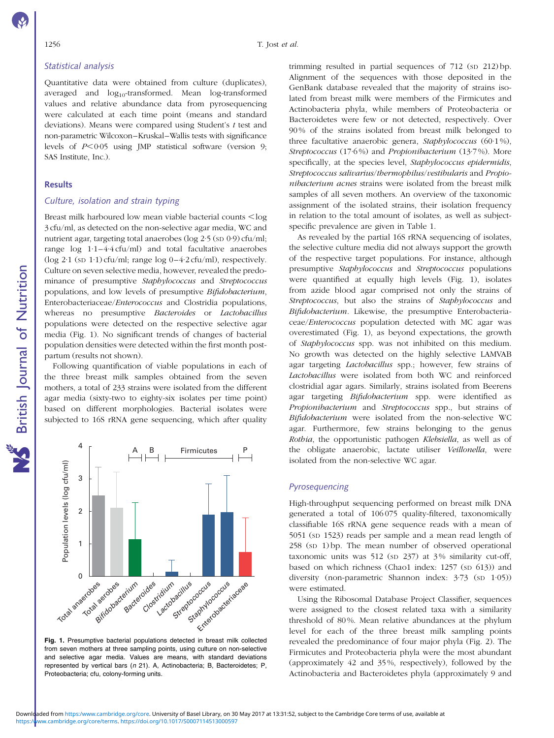### Statistical analysis

Quantitative data were obtained from culture (duplicates), averaged and  $log_{10}$ -transformed. Mean log-transformed values and relative abundance data from pyrosequencing were calculated at each time point (means and standard deviations). Means were compared using Student's t test and non-parametric Wilcoxon–Kruskal–Wallis tests with significance levels of  $P < 0.05$  using JMP statistical software (version 9; SAS Institute, Inc.).

### Results

### Culture, isolation and strain typing

Breast milk harboured low mean viable bacterial counts  $\langle$ log 3 cfu/ml, as detected on the non-selective agar media, WC and nutrient agar, targeting total anaerobes ( $log 2.5$  (sp  $0.9$ ) cfu/ml; range log 1·1–4·4 cfu/ml) and total facultative anaerobes (log  $2.1$  (sp  $1.1$ ) cfu/ml; range log  $0-4.2$  cfu/ml), respectively. Culture on seven selective media, however, revealed the predominance of presumptive Staphylococcus and Streptococcus populations, and low levels of presumptive Bifidobacterium, Enterobacteriaceae/Enterococcus and Clostridia populations, whereas no presumptive Bacteroides or Lactobacillus populations were detected on the respective selective agar media (Fig. 1). No significant trends of changes of bacterial population densities were detected within the first month postpartum (results not shown).

Following quantification of viable populations in each of the three breast milk samples obtained from the seven mothers, a total of 233 strains were isolated from the different agar media (sixty-two to eighty-six isolates per time point) based on different morphologies. Bacterial isolates were subjected to 16S rRNA gene sequencing, which after quality



Fig. 1. Presumptive bacterial populations detected in breast milk collected from seven mothers at three sampling points, using culture on non-selective and selective agar media. Values are means, with standard deviations represented by vertical bars (n 21). A, Actinobacteria; B, Bacteroidetes; P, Proteobacteria; cfu, colony-forming units.

trimming resulted in partial sequences of 712 (sp 212) bp. Alignment of the sequences with those deposited in the GenBank database revealed that the majority of strains isolated from breast milk were members of the Firmicutes and Actinobacteria phyla, while members of Proteobacteria or Bacteroidetes were few or not detected, respectively. Over 90 % of the strains isolated from breast milk belonged to three facultative anaerobic genera, Staphylococcus (60·1%), Streptococcus (17.6%) and Propionibacterium (13.7%). More specifically, at the species level, Staphylococcus epidermidis, Streptococcus salivarius/thermophilus/vestibularis and Propionibacterium acnes strains were isolated from the breast milk samples of all seven mothers. An overview of the taxonomic assignment of the isolated strains, their isolation frequency in relation to the total amount of isolates, as well as subjectspecific prevalence are given in [Table 1](#page-5-0).

As revealed by the partial 16S rRNA sequencing of isolates, the selective culture media did not always support the growth of the respective target populations. For instance, although presumptive Staphylococcus and Streptococcus populations were quantified at equally high levels (Fig. 1), isolates from azide blood agar comprised not only the strains of Streptococcus, but also the strains of Staphylococcus and Bifidobacterium. Likewise, the presumptive Enterobacteriaceae/Enterococcus population detected with MC agar was overestimated (Fig. 1), as beyond expectations, the growth of Staphylococcus spp. was not inhibited on this medium. No growth was detected on the highly selective LAMVAB agar targeting Lactobacillus spp.; however, few strains of Lactobacillus were isolated from both WC and reinforced clostridial agar agars. Similarly, strains isolated from Beerens agar targeting Bifidobacterium spp. were identified as Propionibacterium and Streptococcus spp., but strains of Bifidobacterium were isolated from the non-selective WC agar. Furthermore, few strains belonging to the genus Rothia, the opportunistic pathogen Klebsiella, as well as of the obligate anaerobic, lactate utiliser Veillonella, were isolated from the non-selective WC agar.

### Pyrosequencing

High-throughput sequencing performed on breast milk DNA generated a total of 106 075 quality-filtered, taxonomically classifiable 16S rRNA gene sequence reads with a mean of 5051 (SD 1523) reads per sample and a mean read length of 258 (SD 1) bp. The mean number of observed operational taxonomic units was  $512$  (sp  $237$ ) at  $3\%$  similarity cut-off, based on which richness (Chao1 index: 1257 (sp 613)) and diversity (non-parametric Shannon index:  $3\cdot 73$  (sp 1.05)) were estimated.

Using the Ribosomal Database Project Classifier, sequences were assigned to the closest related taxa with a similarity threshold of 80 %. Mean relative abundances at the phylum level for each of the three breast milk sampling points revealed the predominance of four major phyla [\(Fig. 2](#page-5-0)). The Firmicutes and Proteobacteria phyla were the most abundant (approximately 42 and 35 %, respectively), followed by the Actinobacteria and Bacteroidetes phyla (approximately 9 and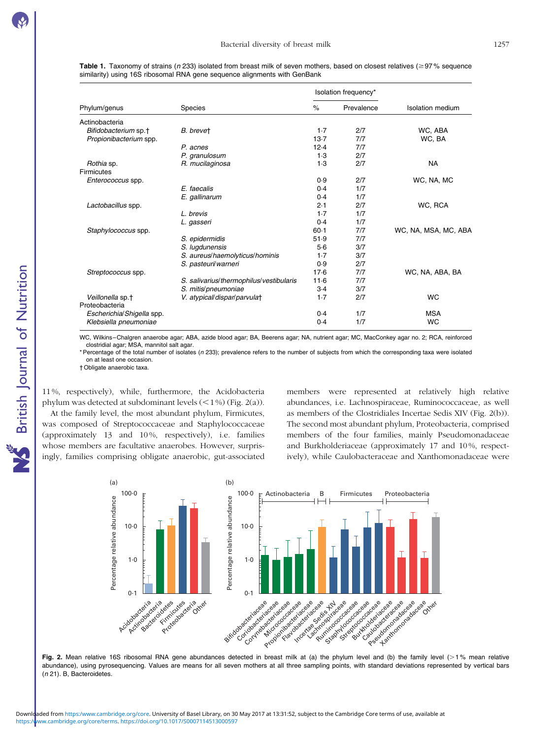<span id="page-5-0"></span>Table 1. Taxonomy of strains (n 233) isolated from breast milk of seven mothers, based on closest relatives ( $\geq$ 97% sequence similarity) using 16S ribosomal RNA gene sequence alignments with GenBank

| Phylum/genus                       | <b>Species</b>                          | Isolation frequency* |            |                         |
|------------------------------------|-----------------------------------------|----------------------|------------|-------------------------|
|                                    |                                         | $\%$                 | Prevalence | <b>Isolation medium</b> |
| Actinobacteria                     |                                         |                      |            |                         |
| Bifidobacterium sp.†               | B. brevet                               | $1-7$                | 2/7        | WC, ABA                 |
| Propionibacterium spp.             |                                         | $13-7$               | 7/7        | WC, BA                  |
|                                    | P. acnes                                | 12.4                 | 7/7        |                         |
|                                    | P. granulosum                           | 1.3                  | 2/7        |                         |
| Rothia sp.                         | R. mucilaginosa                         | $1-3$                | 2/7        | <b>NA</b>               |
| <b>Firmicutes</b>                  |                                         |                      |            |                         |
| Enterococcus spp.                  |                                         | 0.9                  | 2/7        | WC, NA, MC              |
|                                    | E. faecalis                             | 0.4                  | 1/7        |                         |
|                                    | E. gallinarum                           | 0.4                  | 1/7        |                         |
| Lactobacillus spp.                 |                                         | 2.1                  | 2/7        | WC, RCA                 |
|                                    | L. brevis                               | 1.7                  | 1/7        |                         |
|                                    | L. gasseri                              | 0.4                  | 1/7        |                         |
| Staphylococcus spp.                |                                         | $60 - 1$             | 7/7        | WC, NA, MSA, MC, ABA    |
|                                    | S. epidermidis                          | 51.9                 | 7/7        |                         |
|                                    | S. lugdunensis                          | $5-6$                | 3/7        |                         |
|                                    | S. aureus/haemolyticus/hominis          | $1-7$                | 3/7        |                         |
|                                    | S. pasteuri/warneri                     | 0.9                  | 2/7        |                         |
| Streptococcus spp.                 |                                         | 17.6                 | 7/7        | WC, NA, ABA, BA         |
|                                    | S. salivarius/thermophilus/vestibularis | 11.6                 | 7/7        |                         |
|                                    | S. mitis/pneumoniae                     | $3-4$                | 3/7        |                         |
| Veillonella sp.†<br>Proteobacteria | V. atypical/dispar/parvulat             | $1-7$                | 2/7        | <b>WC</b>               |
| Escherichia/Shigella spp.          |                                         | 0.4                  | 1/7        | <b>MSA</b>              |
| Klebsiella pneumoniae              |                                         | 0.4                  | 1/7        | <b>WC</b>               |

WC, Wilkins–Chalgren anaerobe agar; ABA, azide blood agar; BA, Beerens agar; NA, nutrient agar; MC, MacConkey agar no. 2; RCA, reinforced clostridial agar; MSA, mannitol salt agar

Percentage of the total number of isolates (n 233); prevalence refers to the number of subjects from which the corresponding taxa were isolated on at least one occasion.

† Obligate anaerobic taxa.

11 %, respectively), while, furthermore, the Acidobacteria phylum was detected at subdominant levels  $(<1\%)$  (Fig. 2(a)). At the family level, the most abundant phylum, Firmicutes, was composed of Streptococcaceae and Staphylococcaceae (approximately 13 and 10 %, respectively), i.e. families whose members are facultative anaerobes. However, surprisingly, families comprising obligate anaerobic, gut-associated members were represented at relatively high relative abundances, i.e. Lachnospiraceae, Ruminococcaceae, as well as members of the Clostridiales Incertae Sedis XIV (Fig. 2(b)). The second most abundant phylum, Proteobacteria, comprised members of the four families, mainly Pseudomonadaceae and Burkholderiaceae (approximately 17 and 10 %, respectively), while Caulobacteraceae and Xanthomonadaceae were



Fig. 2. Mean relative 16S ribosomal RNA gene abundances detected in breast milk at (a) the phylum level and (b) the family level (>1% mean relative abundance), using pyrosequencing. Values are means for all seven mothers at all three sampling points, with standard deviations represented by vertical bars (n 21). B, Bacteroidetes.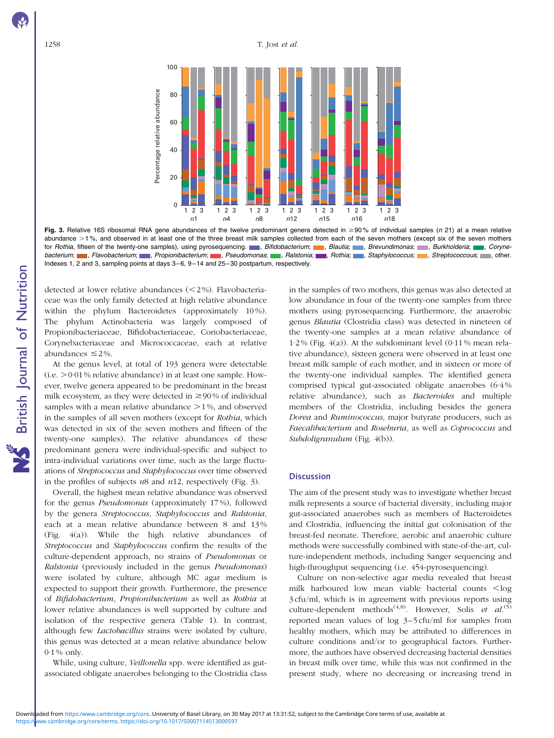

Fig. 3. Relative 16S ribosomal RNA gene abundances of the twelve predominant genera detected in  $\geq$ 90% of individual samples (n 21) at a mean relative abundance >1%, and observed in at least one of the three breast milk samples collected from each of the seven mothers (except six of the seven mothers for Rothia, fifteen of the twenty-one samples), using pyrosequencing. Bifidobacterium; , Blautia; Blautia; Bevundimonas; , Burkholderia; , Corynebacterium; , Flavobacterium; , Propionibacterium; , Pseudomonas; , Ralstonia; , Rothia; , Staphylococcus; , Streptococcous; , other. Indexes 1, 2 and 3, sampling points at days 3–6, 9–14 and 25–30 postpartum, respectively.

detected at lower relative abundances  $(<2%)$ . Flavobacteriaceae was the only family detected at high relative abundance within the phylum Bacteroidetes (approximately 10%). The phylum Actinobacteria was largely composed of Propionibacteriaceae, Bifidobacteriaceae, Coriobacteriaceae, Corynebacteriaceae and Micrococcaceae, each at relative abundances  $\leq$  2%.

At the genus level, at total of 193 genera were detectable  $(i.e. >0.01$  % relative abundance) in at least one sample. However, twelve genera appeared to be predominant in the breast milk ecosystem, as they were detected in  $\geq 90\%$  of individual samples with a mean relative abundance  $>1$ %, and observed in the samples of all seven mothers (except for Rothia, which was detected in six of the seven mothers and fifteen of the twenty-one samples). The relative abundances of these predominant genera were individual-specific and subject to intra-individual variations over time, such as the large fluctuations of Streptococcus and Staphylococcus over time observed in the profiles of subjects  $n8$  and  $n12$ , respectively (Fig. 3).

Overall, the highest mean relative abundance was observed for the genus Pseudomonas (approximately 17 %), followed by the genera Streptococcus, Staphylococcus and Ralstonia, each at a mean relative abundance between 8 and 13 % [\(Fig. 4\(a\)](#page-7-0)). While the high relative abundances of Streptococcus and Staphylococcus confirm the results of the culture-dependent approach, no strains of Pseudomonas or Ralstonia (previously included in the genus Pseudomonas) were isolated by culture, although MC agar medium is expected to support their growth. Furthermore, the presence of Bifidobacterium, Propionibacterium as well as Rothia at lower relative abundances is well supported by culture and isolation of the respective genera ([Table 1](#page-5-0)). In contrast, although few Lactobacillus strains were isolated by culture, this genus was detected at a mean relative abundance below  $0.1\%$  only.

While, using culture, Veillonella spp. were identified as gutassociated obligate anaerobes belonging to the Clostridia class

in the samples of two mothers, this genus was also detected at low abundance in four of the twenty-one samples from three mothers using pyrosequencing. Furthermore, the anaerobic genus Blautia (Clostridia class) was detected in nineteen of the twenty-one samples at a mean relative abundance of 1·2 % ([Fig. 4\(a\)\)](#page-7-0). At the subdominant level (0·11 % mean relative abundance), sixteen genera were observed in at least one breast milk sample of each mother, and in sixteen or more of the twenty-one individual samples. The identified genera comprised typical gut-associated obligate anaerobes (6·4 % relative abundance), such as Bacteroides and multiple members of the Clostridia, including besides the genera Dorea and Ruminococcus, major butyrate producers, such as Faecalibacterium and Roseburia, as well as Coprococcus and Subdoligranulum ([Fig. 4\(b\)](#page-7-0)).

### **Discussion**

The aim of the present study was to investigate whether breast milk represents a source of bacterial diversity, including major gut-associated anaerobes such as members of Bacteroidetes and Clostridia, influencing the initial gut colonisation of the breast-fed neonate. Therefore, aerobic and anaerobic culture methods were successfully combined with state-of-the-art, culture-independent methods, including Sanger sequencing and high-throughput sequencing (i.e. 454-pyrosequencing).

Culture on non-selective agar media revealed that breast milk harboured low mean viable bacterial counts  $\langle$ log 3 cfu/ml, which is in agreement with previous reports using culture-dependent methods<sup>(4,8)</sup>. However, Solis et al.<sup>(5)</sup> reported mean values of log 3–5 cfu/ml for samples from healthy mothers, which may be attributed to differences in culture conditions and/or to geographical factors. Furthermore, the authors have observed decreasing bacterial densities in breast milk over time, while this was not confirmed in the present study, where no decreasing or increasing trend in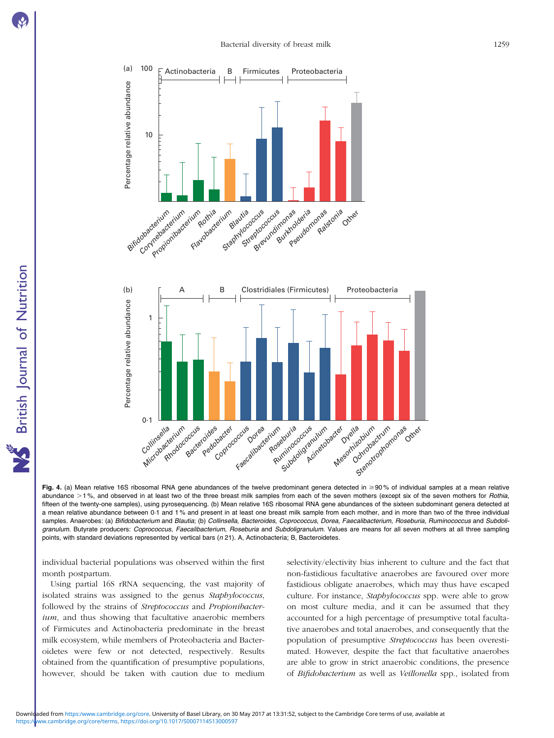British Journal of Nutrition

NS British Journal of Nutrition

<span id="page-7-0"></span>

Fig. 4. (a) Mean relative 16S ribosomal RNA gene abundances of the twelve predominant genera detected in  $\geq 90\%$  of individual samples at a mean relative abundance >1%, and observed in at least two of the three breast milk samples from each of the seven mothers (except six of the seven mothers for Rothia, fifteen of the twenty-one samples), using pyrosequencing. (b) Mean relative 16S ribosomal RNA gene abundances of the sixteen subdominant genera detected at a mean relative abundance between 0.1 and 1% and present in at least one breast milk sample from each mother, and in more than two of the three individual samples. Anaerobes: (a) Bifidobacterium and Blautia; (b) Collinsella, Bacteroides, Coprococcus, Dorea, Faecalibacterium, Roseburia, Ruminococcus and Subdoligranulum. Butyrate producers: Coprococcus, Faecalibacterium, Roseburia and Subdoligranulum, Values are means for all seven mothers at all three sampling points, with standard deviations represented by vertical bars (n 21). A, Actinobacteria; B, Bacteroidetes.

individual bacterial populations was observed within the first month postpartum.

Using partial 16S rRNA sequencing, the vast majority of isolated strains was assigned to the genus Staphylococcus, followed by the strains of Streptococcus and Propionibacterium, and thus showing that facultative anaerobic members of Firmicutes and Actinobacteria predominate in the breast milk ecosystem, while members of Proteobacteria and Bacteroidetes were few or not detected, respectively. Results obtained from the quantification of presumptive populations, however, should be taken with caution due to medium

selectivity/electivity bias inherent to culture and the fact that non-fastidious facultative anaerobes are favoured over more fastidious obligate anaerobes, which may thus have escaped culture. For instance, Staphylococcus spp. were able to grow on most culture media, and it can be assumed that they accounted for a high percentage of presumptive total facultative anaerobes and total anaerobes, and consequently that the population of presumptive Streptococcus has been overestimated. However, despite the fact that facultative anaerobes are able to grow in strict anaerobic conditions, the presence of Bifidobacterium as well as Veillonella spp., isolated from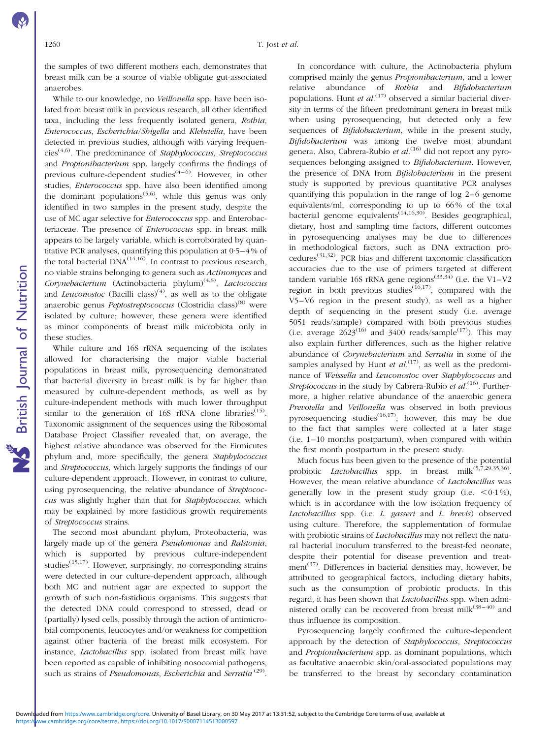the samples of two different mothers each, demonstrates that breast milk can be a source of viable obligate gut-associated anaerobes.

While to our knowledge, no Veillonella spp. have been isolated from breast milk in previous research, all other identified taxa, including the less frequently isolated genera, Rothia, Enterococcus, Escherichia/Shigella and Klebsiella, have been detected in previous studies, although with varying frequen $cies^{(4,6)}$ . The predominance of *Staphylococcus*, *Streptococcus* and Propionibacterium spp. largely confirms the findings of previous culture-dependent studies<sup> $(4-6)$ </sup>. However, in other studies. *Enterococcus* spp. have also been identified among the dominant populations<sup> $(5,6)$ </sup>, while this genus was only identified in two samples in the present study, despite the use of MC agar selective for Enterococcus spp. and Enterobacteriaceae. The presence of Enterococcus spp. in breast milk appears to be largely variable, which is corroborated by quantitative PCR analyses, quantifying this population at 0·5–4 % of the total bacterial  $DNA^{(14,16)}$ . In contrast to previous research, no viable strains belonging to genera such as Actinomyces and  $Corynebacterium$  (Actinobacteria phylum)<sup> $(4,8)$ </sup>, *Lactococcus* and *Leuconostoc* (Bacilli class)<sup>(4)</sup>, as well as to the obligate anaerobic genus Peptostreptococcus (Clostridia class)<sup>(8)</sup> were isolated by culture; however, these genera were identified as minor components of breast milk microbiota only in these studies.

While culture and 16S rRNA sequencing of the isolates allowed for characterising the major viable bacterial populations in breast milk, pyrosequencing demonstrated that bacterial diversity in breast milk is by far higher than measured by culture-dependent methods, as well as by culture-independent methods with much lower throughput similar to the generation of  $16S$  rRNA clone libraries<sup>(15)</sup>. Taxonomic assignment of the sequences using the Ribosomal Database Project Classifier revealed that, on average, the highest relative abundance was observed for the Firmicutes phylum and, more specifically, the genera Staphylococcus and Streptococcus, which largely supports the findings of our culture-dependent approach. However, in contrast to culture, using pyrosequencing, the relative abundance of Streptococcus was slightly higher than that for Staphylococcus, which may be explained by more fastidious growth requirements of Streptococcus strains.

The second most abundant phylum, Proteobacteria, was largely made up of the genera Pseudomonas and Ralstonia, which is supported by previous culture-independent studies<sup>(15,17)</sup>. However, surprisingly, no corresponding strains were detected in our culture-dependent approach, although both MC and nutrient agar are expected to support the growth of such non-fastidious organisms. This suggests that the detected DNA could correspond to stressed, dead or (partially) lysed cells, possibly through the action of antimicrobial components, leucocytes and/or weakness for competition against other bacteria of the breast milk ecosystem. For instance, Lactobacillus spp. isolated from breast milk have been reported as capable of inhibiting nosocomial pathogens, such as strains of Pseudomonas, Escherichia and Serratia<sup>(29)</sup>.

In concordance with culture, the Actinobacteria phylum comprised mainly the genus Propionibacterium, and a lower relative abundance of Rothia and Bifidobacterium populations. Hunt et  $al$ <sup>(17)</sup> observed a similar bacterial diversity in terms of the fifteen predominant genera in breast milk when using pyrosequencing, but detected only a few sequences of *Bifidobacterium*, while in the present study, Bifidobacterium was among the twelve most abundant genera. Also, Cabrera-Rubio et  $al$ .<sup>(16)</sup> did not report any pyrosequences belonging assigned to *Bifidobacterium*. However, the presence of DNA from Bifidobacterium in the present study is supported by previous quantitative PCR analyses quantifying this population in the range of log 2–6 genome equivalents/ml, corresponding to up to 66% of the total bacterial genome equivalents<sup> $(14,16,30)$ </sup>. Besides geographical, dietary, host and sampling time factors, different outcomes in pyrosequencing analyses may be due to differences in methodological factors, such as DNA extraction procedures(31,32), PCR bias and different taxonomic classification accuracies due to the use of primers targeted at different tandem variable 16S rRNA gene regions<sup> $(33,34)$ </sup> (i.e. the V1–V2 region in both previous studies<sup> $(16,17)$ </sup>, compared with the V5–V6 region in the present study), as well as a higher depth of sequencing in the present study (i.e. average 5051 reads/sample) compared with both previous studies (i.e. average  $2623^{(16)}$  and 3400 reads/sample<sup>(17)</sup>. This may also explain further differences, such as the higher relative abundance of Corynebacterium and Serratia in some of the samples analysed by Hunt et  $al^{(17)}$ , as well as the predominance of Weissella and Leuconostoc over Staphylococcus and *Streptococcus* in the study by Cabrera-Rubio *et al.*<sup>(16)</sup>. Furthermore, a higher relative abundance of the anaerobic genera Prevotella and Veillonella was observed in both previous pyrosequencing studies<sup> $(16,17)$ </sup>; however, this may be due to the fact that samples were collected at a later stage (i.e. 1–10 months postpartum), when compared with within the first month postpartum in the present study.

Much focus has been given to the presence of the potential probiotic *Lactobacillus* spp. in breast milk<sup>(5,7,29,35,36)</sup>. However, the mean relative abundance of *Lactobacillus* was generally low in the present study group (i.e.  $\lt 0.1\%$ ), which is in accordance with the low isolation frequency of Lactobacillus spp. (i.e. L. gasseri and L. brevis) observed using culture. Therefore, the supplementation of formulae with probiotic strains of *Lactobacillus* may not reflect the natural bacterial inoculum transferred to the breast-fed neonate, despite their potential for disease prevention and treatment<sup>(37)</sup>. Differences in bacterial densities may, however, be attributed to geographical factors, including dietary habits, such as the consumption of probiotic products. In this regard, it has been shown that Lactobacillus spp. when administered orally can be recovered from breast milk $(38-40)$  and thus influence its composition.

Pyrosequencing largely confirmed the culture-dependent approach by the detection of Staphylococcus, Streptococcus and Propionibacterium spp. as dominant populations, which as facultative anaerobic skin/oral-associated populations may be transferred to the breast by secondary contamination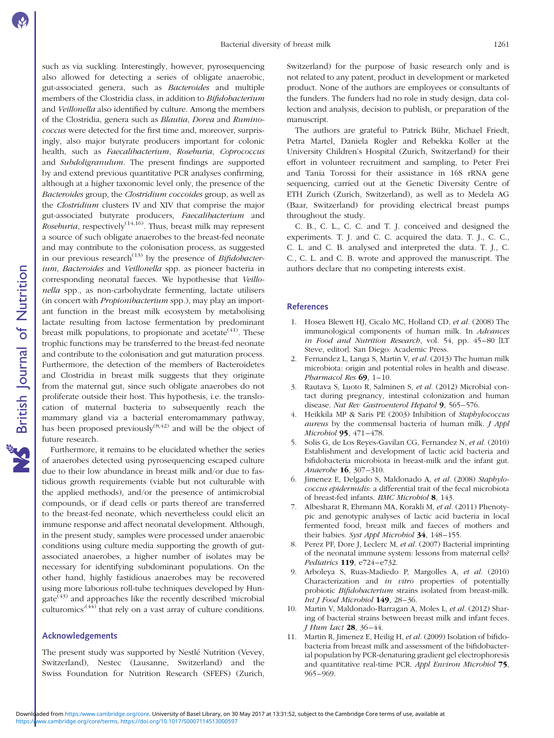such as via suckling. Interestingly, however, pyrosequencing also allowed for detecting a series of obligate anaerobic, gut-associated genera, such as Bacteroides and multiple members of the Clostridia class, in addition to Bifidobacterium and Veillonella also identified by culture. Among the members of the Clostridia, genera such as Blautia, Dorea and Ruminococcus were detected for the first time and, moreover, surprisingly, also major butyrate producers important for colonic health, such as Faecalibacterium, Roseburia, Coprococcus and Subdoligranulum. The present findings are supported by and extend previous quantitative PCR analyses confirming, although at a higher taxonomic level only, the presence of the Bacteroides group, the Clostridium coccoides group, as well as the *Clostridium* clusters IV and XIV that comprise the major gut-associated butyrate producers, Faecalibacterium and Roseburia, respectively<sup>(14,16)</sup>. Thus, breast milk may represent a source of such obligate anaerobes to the breast-fed neonate and may contribute to the colonisation process, as suggested in our previous research<sup>(13)</sup> by the presence of *Bifidobacter*ium, Bacteroides and Veillonella spp. as pioneer bacteria in corresponding neonatal faeces. We hypothesise that Veillonella spp., as non-carbohydrate fermenting, lactate utilisers (in concert with Propionibacterium spp.), may play an important function in the breast milk ecosystem by metabolising lactate resulting from lactose fermentation by predominant breast milk populations, to propionate and acetate<sup> $(41)$ </sup>. These trophic functions may be transferred to the breast-fed neonate and contribute to the colonisation and gut maturation process. Furthermore, the detection of the members of Bacteroidetes and Clostridia in breast milk suggests that they originate from the maternal gut, since such obligate anaerobes do not proliferate outside their host. This hypothesis, i.e. the translocation of maternal bacteria to subsequently reach the mammary gland via a bacterial enteromammary pathway, has been proposed previously<sup>(8,42)</sup> and will be the object of future research.

Furthermore, it remains to be elucidated whether the series of anaerobes detected using pyrosequencing escaped culture due to their low abundance in breast milk and/or due to fastidious growth requirements (viable but not culturable with the applied methods), and/or the presence of antimicrobial compounds, or if dead cells or parts thereof are transferred to the breast-fed neonate, which nevertheless could elicit an immune response and affect neonatal development. Although, in the present study, samples were processed under anaerobic conditions using culture media supporting the growth of gutassociated anaerobes, a higher number of isolates may be necessary for identifying subdominant populations. On the other hand, highly fastidious anaerobes may be recovered using more laborious roll-tube techniques developed by Hungate $^{(43)}$  and approaches like the recently described 'microbial culturomics<sup> $(44)$ </sup> that rely on a vast array of culture conditions.

### Acknowledgements

The present study was supported by Nestlé Nutrition (Vevey, Switzerland), Nestec (Lausanne, Switzerland) and the Swiss Foundation for Nutrition Research (SFEFS) (Zurich, Switzerland) for the purpose of basic research only and is not related to any patent, product in development or marketed product. None of the authors are employees or consultants of the funders. The funders had no role in study design, data collection and analysis, decision to publish, or preparation of the manuscript.

The authors are grateful to Patrick Bühr, Michael Friedt, Petra Martel, Daniela Rogler and Rebekka Koller at the University Children's Hospital (Zurich, Switzerland) for their effort in volunteer recruitment and sampling, to Peter Frei and Tania Torossi for their assistance in 16S rRNA gene sequencing, carried out at the Genetic Diversity Centre of ETH Zurich (Zurich, Switzerland), as well as to Medela AG (Baar, Switzerland) for providing electrical breast pumps throughout the study.

C. B., C. L., C. C. and T. J. conceived and designed the experiments. T. J. and C. C. acquired the data. T. J., C. C., C. L. and C. B. analysed and interpreted the data. T. J., C. C., C. L. and C. B. wrote and approved the manuscript. The authors declare that no competing interests exist.

### References

- 1. Hosea Blewett HJ, Cicalo MC, Holland CD, et al. (2008) The immunological components of human milk. In Advances in Food and Nutrition Research, vol. 54, pp. 45–80 [LT Steve, editor]. San Diego: Academic Press.
- 2. Fernandez L, Langa S, Martin V, et al. (2013) The human milk microbiota: origin and potential roles in health and disease. Pharmacol Res  $69$ , 1-10.
- 3. Rautava S, Luoto R, Salminen S, et al. (2012) Microbial contact during pregnancy, intestinal colonization and human disease. Nat Rev Gastroenterol Hepatol 9, 565–576.
- 4. Heikkila MP & Saris PE (2003) Inhibition of Staphylococcus aureus by the commensal bacteria of human milk. J Appl Microbiol 95, 471-478.
- 5. Solis G, de Los Reyes-Gavilan CG, Fernandez N, et al. (2010) Establishment and development of lactic acid bacteria and bifidobacteria microbiota in breast-milk and the infant gut. Anaerobe 16, 307–310.
- 6. Jimenez E, Delgado S, Maldonado A, et al. (2008) Staphylococcus epidermidis: a differential trait of the fecal microbiota of breast-fed infants. BMC Microbiol 8, 143.
- 7. Albesharat R, Ehrmann MA, Korakli M, et al. (2011) Phenotypic and genotypic analyses of lactic acid bacteria in local fermented food, breast milk and faeces of mothers and their babies. Syst Appl Microbiol 34, 148-155.
- 8. Perez PF, Dore J, Leclerc M, et al. (2007) Bacterial imprinting of the neonatal immune system: lessons from maternal cells? Pediatrics 119, e724–e732.
- 9. Arboleya S, Ruas-Madiedo P, Margolles A, et al. (2010) Characterization and in vitro properties of potentially probiotic Bifidobacterium strains isolated from breast-milk. Int J Food Microbiol 149, 28-36.
- 10. Martin V, Maldonado-Barragan A, Moles L, et al. (2012) Sharing of bacterial strains between breast milk and infant feces. J Hum Lact 28, 36–44.
- 11. Martin R, Jimenez E, Heilig H, et al. (2009) Isolation of bifidobacteria from breast milk and assessment of the bifidobacterial population by PCR-denaturing gradient gel electrophoresis and quantitative real-time PCR. Appl Environ Microbiol 75, 965–969.